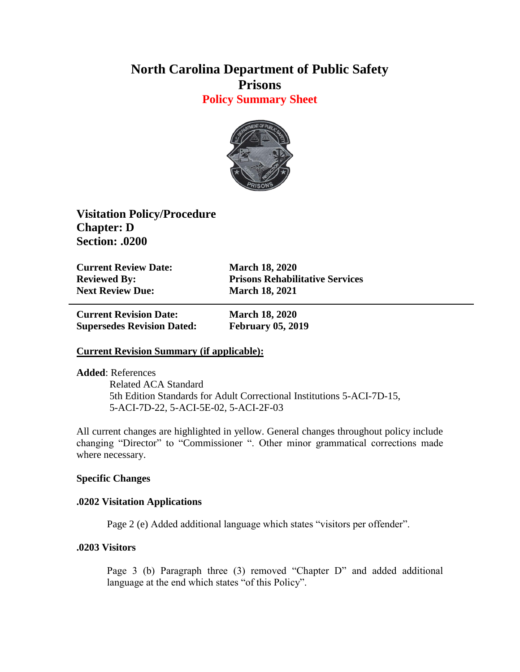# **North Carolina Department of Public Safety Prisons Policy Summary Sheet**



**Visitation Policy/Procedure Chapter: D Section: .0200**

**Current Review Date: March 18, 2020 Next Review Due: March 18, 2021**

**Reviewed By: Prisons Rehabilitative Services**

**Current Revision Date: March 18, 2020 Supersedes Revision Dated: February 05, 2019**

## **Current Revision Summary (if applicable):**

**Added**: References Related ACA Standard 5th Edition Standards for Adult Correctional Institutions 5-ACI-7D-15, 5-ACI-7D-22, 5-ACI-5E-02, 5-ACI-2F-03

All current changes are highlighted in yellow. General changes throughout policy include changing "Director" to "Commissioner ". Other minor grammatical corrections made where necessary.

### **Specific Changes**

### **.0202 Visitation Applications**

Page 2 (e) Added additional language which states "visitors per offender".

## **.0203 Visitors**

Page 3 (b) Paragraph three (3) removed "Chapter D" and added additional language at the end which states "of this Policy".